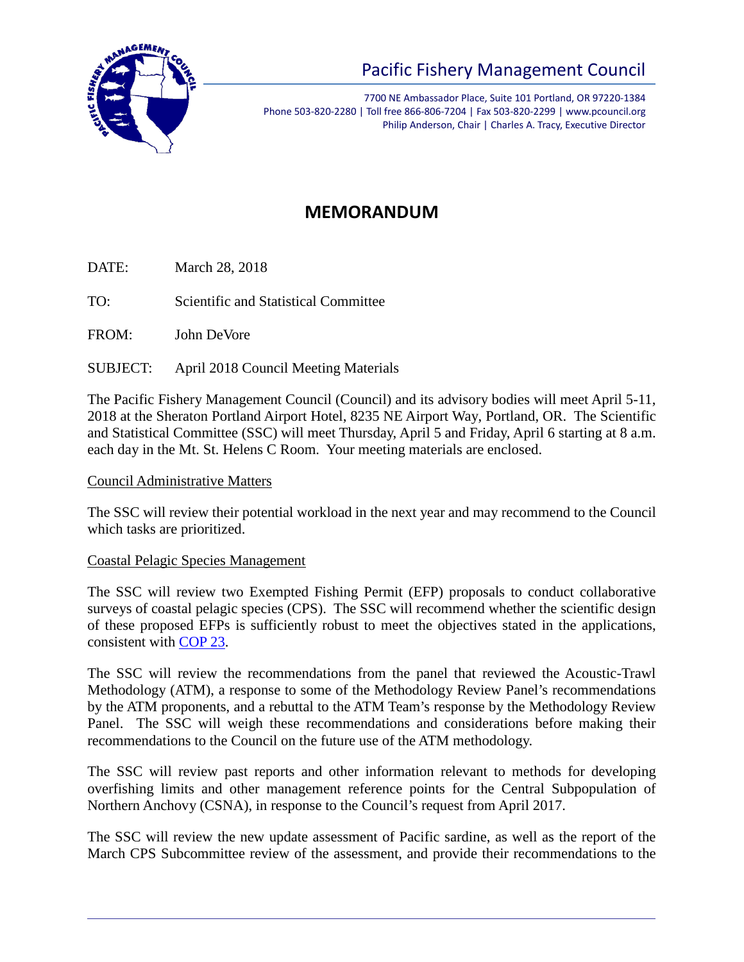

# Pacific Fishery Management Council

7700 NE Ambassador Place, Suite 101 Portland, OR 97220-1384 Phone 503-820-2280 | Toll free 866-806-7204 | Fax 503-820-2299 | www.pcouncil.org Philip Anderson, Chair | Charles A. Tracy, Executive Director

# **MEMORANDUM**

DATE: March 28, 2018

TO: Scientific and Statistical Committee

FROM: John DeVore

SUBJECT: April 2018 Council Meeting Materials

The Pacific Fishery Management Council (Council) and its advisory bodies will meet April 5-11, 2018 at the Sheraton Portland Airport Hotel, 8235 NE Airport Way, Portland, OR. The Scientific and Statistical Committee (SSC) will meet Thursday, April 5 and Friday, April 6 starting at 8 a.m. each day in the Mt. St. Helens C Room. Your meeting materials are enclosed.

# Council Administrative Matters

The SSC will review their potential workload in the next year and may recommend to the Council which tasks are prioritized.

# Coastal Pelagic Species Management

The SSC will review two Exempted Fishing Permit (EFP) proposals to conduct collaborative surveys of coastal pelagic species (CPS). The SSC will recommend whether the scientific design of these proposed EFPs is sufficiently robust to meet the objectives stated in the applications, consistent with [COP 23.](https://www.pcouncil.org/wp-content/uploads/cop23.pdf)

The SSC will review the recommendations from the panel that reviewed the Acoustic-Trawl Methodology (ATM), a response to some of the Methodology Review Panel's recommendations by the ATM proponents, and a rebuttal to the ATM Team's response by the Methodology Review Panel. The SSC will weigh these recommendations and considerations before making their recommendations to the Council on the future use of the ATM methodology.

The SSC will review past reports and other information relevant to methods for developing overfishing limits and other management reference points for the Central Subpopulation of Northern Anchovy (CSNA), in response to the Council's request from April 2017.

The SSC will review the new update assessment of Pacific sardine, as well as the report of the March CPS Subcommittee review of the assessment, and provide their recommendations to the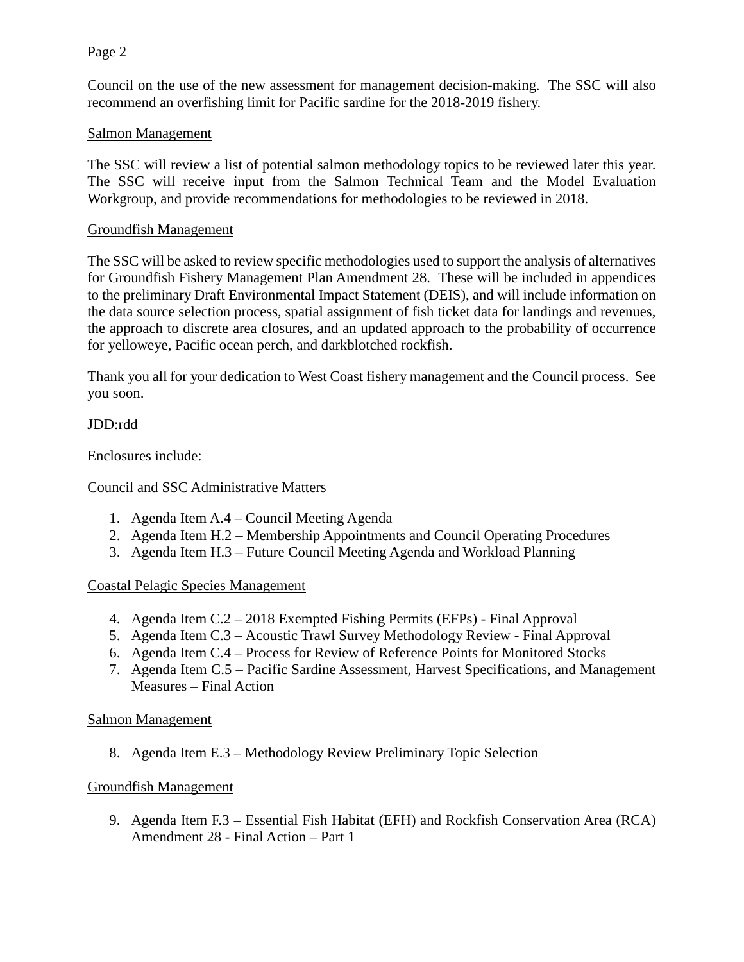#### Page 2

Council on the use of the new assessment for management decision-making. The SSC will also recommend an overfishing limit for Pacific sardine for the 2018-2019 fishery.

## Salmon Management

The SSC will review a list of potential salmon methodology topics to be reviewed later this year. The SSC will receive input from the Salmon Technical Team and the Model Evaluation Workgroup, and provide recommendations for methodologies to be reviewed in 2018.

#### Groundfish Management

The SSC will be asked to review specific methodologies used to support the analysis of alternatives for Groundfish Fishery Management Plan Amendment 28. These will be included in appendices to the preliminary Draft Environmental Impact Statement (DEIS), and will include information on the data source selection process, spatial assignment of fish ticket data for landings and revenues, the approach to discrete area closures, and an updated approach to the probability of occurrence for yelloweye, Pacific ocean perch, and darkblotched rockfish.

Thank you all for your dedication to West Coast fishery management and the Council process. See you soon.

JDD:rdd

Enclosures include:

## Council and SSC Administrative Matters

- 1. Agenda Item A.4 Council Meeting Agenda
- 2. Agenda Item H.2 Membership Appointments and Council Operating Procedures
- 3. Agenda Item H.3 Future Council Meeting Agenda and Workload Planning

#### Coastal Pelagic Species Management

- 4. Agenda Item C.2 2018 Exempted Fishing Permits (EFPs) Final Approval
- 5. Agenda Item C.3 Acoustic Trawl Survey Methodology Review Final Approval
- 6. Agenda Item C.4 Process for Review of Reference Points for Monitored Stocks
- 7. Agenda Item C.5 Pacific Sardine Assessment, Harvest Specifications, and Management Measures – Final Action

#### Salmon Management

8. Agenda Item E.3 – Methodology Review Preliminary Topic Selection

# Groundfish Management

9. Agenda Item F.3 – Essential Fish Habitat (EFH) and Rockfish Conservation Area (RCA) Amendment 28 - Final Action – Part 1